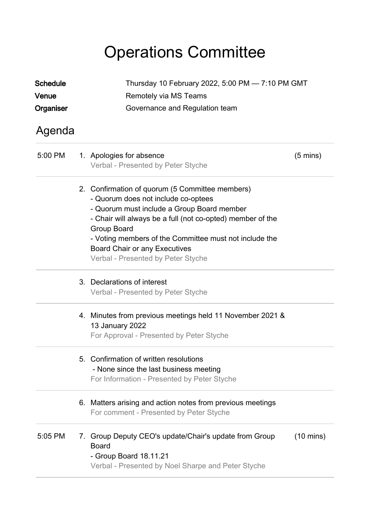## Operations Committee

| <b>Schedule</b><br>Venue<br>Organiser |    | Thursday 10 February 2022, 5:00 PM - 7:10 PM GMT<br>Remotely via MS Teams<br>Governance and Regulation team                                                                                                                                                                                                                                               |                     |  |  |
|---------------------------------------|----|-----------------------------------------------------------------------------------------------------------------------------------------------------------------------------------------------------------------------------------------------------------------------------------------------------------------------------------------------------------|---------------------|--|--|
| Agenda                                |    |                                                                                                                                                                                                                                                                                                                                                           |                     |  |  |
| 5:00 PM                               |    | 1. Apologies for absence<br>Verbal - Presented by Peter Styche                                                                                                                                                                                                                                                                                            | $(5 \text{ mins})$  |  |  |
|                                       |    | 2. Confirmation of quorum (5 Committee members)<br>- Quorum does not include co-optees<br>- Quorum must include a Group Board member<br>- Chair will always be a full (not co-opted) member of the<br>Group Board<br>- Voting members of the Committee must not include the<br><b>Board Chair or any Executives</b><br>Verbal - Presented by Peter Styche |                     |  |  |
|                                       |    | 3. Declarations of interest<br>Verbal - Presented by Peter Styche                                                                                                                                                                                                                                                                                         |                     |  |  |
|                                       |    | 4. Minutes from previous meetings held 11 November 2021 &<br>13 January 2022<br>For Approval - Presented by Peter Styche                                                                                                                                                                                                                                  |                     |  |  |
|                                       | 5. | Confirmation of written resolutions<br>- None since the last business meeting<br>For Information - Presented by Peter Styche                                                                                                                                                                                                                              |                     |  |  |
|                                       |    | 6. Matters arising and action notes from previous meetings<br>For comment - Presented by Peter Styche                                                                                                                                                                                                                                                     |                     |  |  |
| 5:05 PM                               |    | 7. Group Deputy CEO's update/Chair's update from Group<br><b>Board</b><br>- Group Board 18.11.21<br>Verbal - Presented by Noel Sharpe and Peter Styche                                                                                                                                                                                                    | $(10 \text{ mins})$ |  |  |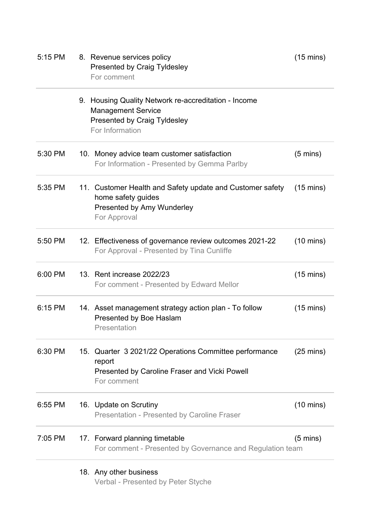| 5:15 PM | 8. Revenue services policy<br><b>Presented by Craig Tyldesley</b><br>For comment                                                            | $(15 \text{ mins})$ |
|---------|---------------------------------------------------------------------------------------------------------------------------------------------|---------------------|
|         | 9. Housing Quality Network re-accreditation - Income<br><b>Management Service</b><br><b>Presented by Craig Tyldesley</b><br>For Information |                     |
| 5:30 PM | 10. Money advice team customer satisfaction<br>For Information - Presented by Gemma Parlby                                                  | $(5 \text{ mins})$  |
| 5:35 PM | 11. Customer Health and Safety update and Customer safety<br>home safety guides<br>Presented by Amy Wunderley<br>For Approval               | $(15 \text{ mins})$ |
| 5:50 PM | 12. Effectiveness of governance review outcomes 2021-22<br>For Approval - Presented by Tina Cunliffe                                        | $(10 \text{ mins})$ |
| 6:00 PM | 13. Rent increase 2022/23<br>For comment - Presented by Edward Mellor                                                                       | $(15 \text{ mins})$ |
| 6:15 PM | 14. Asset management strategy action plan - To follow<br>Presented by Boe Haslam<br>Presentation                                            | $(15 \text{ mins})$ |
| 6:30 PM | 15. Quarter 3 2021/22 Operations Committee performance<br>report<br><b>Presented by Caroline Fraser and Vicki Powell</b><br>For comment     | $(25 \text{ mins})$ |
| 6:55 PM | 16. Update on Scrutiny<br><b>Presentation - Presented by Caroline Fraser</b>                                                                | $(10 \text{ mins})$ |
| 7:05 PM | 17. Forward planning timetable<br>For comment - Presented by Governance and Regulation team                                                 | $(5 \text{ mins})$  |
|         | 18. Any other business<br>Verbal - Presented by Peter Styche                                                                                |                     |